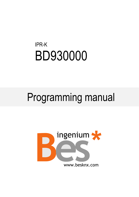# IPR-K BD930000

# Programming manual

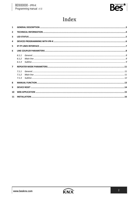

# Index

| $\mathbf{1}$            |                       |  |
|-------------------------|-----------------------|--|
| $\overline{2}$          |                       |  |
| $\overline{\mathbf{3}}$ |                       |  |
| 4                       |                       |  |
| 5                       |                       |  |
| 6                       |                       |  |
| $\overline{7}$          | 6.1.1<br>612<br>6.1.3 |  |
|                         | 711                   |  |
|                         | 7.1.2                 |  |
|                         | 713                   |  |
| 8                       |                       |  |
| 9                       |                       |  |
| 10                      |                       |  |
| 11                      |                       |  |

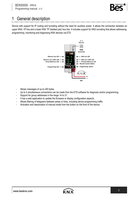

## <span id="page-2-0"></span>1 General description

Device with support for IP routing and tunneling without the need for auxiliary power. It allows the connection between an upper KNX / IP line and a lower KNX TP (twisted pair) bus line. It includes support for KNX tunneling that allows addressing, programming, monitoring and diagnosing KNX devices via ETS



- Allows messages of up to 240 bytes.
- Up to 4 simultaneous connections can be made from the ETS software for diagnosis and/or programming.
- Support for group addresses in the range 14 to 31.
- It has a web application to update the firmware or display configuration aspects.
- Allows filtering of telegrams between areas or lines, including device programming traffic.
- Activation and deactivation of manual mode from the button on the front of the device.

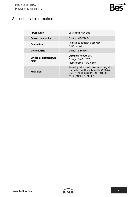

# <span id="page-3-0"></span>2 Technical information

| <b>Power supply</b>                     | 29 Vdc from KNX BUS                                                                                                                                                  |
|-----------------------------------------|----------------------------------------------------------------------------------------------------------------------------------------------------------------------|
| <b>Current consumption</b>              | 5 mA from KNX BUS                                                                                                                                                    |
| <b>Connections</b>                      | Terminal de conexión al bus KNX<br>RJ45 connector                                                                                                                    |
| <b>Mounting/Size</b>                    | DIN rail / 2 modules                                                                                                                                                 |
| <b>Environment temperature</b><br>range | Operation: -10°C to 55°C<br>Storage: -30°C to 60°C<br>Transportation: -30°C to 60°C                                                                                  |
| <b>Regulation</b>                       | According to the directives of electromagnetic<br>compatibility and low voltage. EN 50090-2-2 /<br>UNEEN 61000-6-3:2007 / UNE-EN 61000-6-<br>1:2007 / UNE-EN 61010-1 |

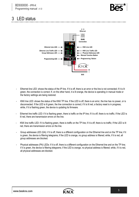

### <span id="page-4-0"></span>3 LED status



- Ethernet line LED: shows the status of the IP line. If it is off, there is an error or the line is not connected; if it is lit green, the connection is correct; If, on the other hand, it is lit orange, the device is operating in manual mode or the factory settings are being restored.
- KNX line LED: shows the status of the KNX TP line. If the LED is off, there is an error, the line has no power, or is disconnected. If the LED is lit green, the line connection is correct; if it is lit red, a factory reset is in progress; while, if it is flashing green, the device is updating its firmware.
- Ethernet line traffic LED: if it is flashing green, there is traffic on the IP line; if it is off, there is no traffic; If the LED is lit red, there are transmission errors on the line.
- KNX line traffic LED: if it is flashing green, there is traffic on the TP line; if it is off, there is no traffic; If the LED is lit red, there are transmission errors on the line.
- Group addresses LED (GA): if it is off, there is a different configuration on the Ethernet line and on the TP line; if it is green, the device is filtering telegrams; if the LED is orange, no group address is filtered; while, if it is red, all group addresses are blocked.
- Physical addresses (PA) LEDs: if it is off, there is a different configuration on the Ethernet line and on the TP line; if it is green, the device is filtering telegrams; if the LED is orange, no physical address is filtered; while, if it is red, all physical addresses are blocked.

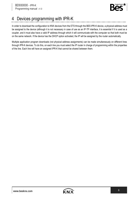

# <span id="page-5-0"></span>4 Devices programming with IPR-K

In order to download the configuration to KNX devices from the ETS through the BES IPR-K device, a physical address must be assigned to the device (although it is not necessary in case of use as an IP-TP interface, it is essential if it is used as a coupler, and it must also have a valid IP address through which it will communicate with the computer so that both must be on the same network. If the device has the DHCP option activated, the IP will be assigned by the router automatically.

Multiple application program downloads (not physical address assignments) can be made simultaneously on different lines through IPR-K devices. To do this, on each line you must select the IP router in charge of programming within the properties of the line. Each line will have an assigned IPR-K that cannot be shared between them.

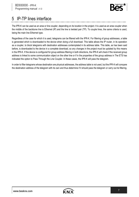

## <span id="page-6-0"></span>5 IP-TP lines interface

The IPR-K can be used as an area or line coupler, depending on its location in the project. It is used as an area coupler when the middle of the backbone line is Ethernet (IP) and the line is twisted pair (TP). To couple lines, the same criteria is used, being the main line Ethernet type.

Regardless of the case for which it is used, telegrams can be filtered with the IPR-K. For filtering of group addresses, a table is generated which is downloaded to the device when doing a full download. This table allows the IP router, in its operation as a coupler, to block telegrams with destination addresses contemplated in its address table. This table, as has been said before, is downloaded to the device in a complete download, so any changes in the project must be updated by this means in the IPR-K. If the device is configured for group address filtering in both directions, the IPR-K will check if the received group address is linked to some communication object on the other line or if in the properties of the group address in The ETS has indicated the option to Pass Through the Line Coupler. In these cases, the IPR-K will pass the telegram.

In order to filter telegrams whose destination are physical addresses, the address table is not used, but the IPR-K will compare the destination address of the telegram with its own and thus determine if it should pass the telegram or carry out its filtering.

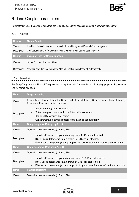

# <span id="page-7-0"></span>6 Line Coupler parameters

Parameterization of the device is done from the ETS. The description of each parameter is shown in this chapter.

#### <span id="page-7-1"></span>6.1.1 General

| <b>Nombre</b> | <b>Manual function</b>                                                                 |
|---------------|----------------------------------------------------------------------------------------|
| Valores       | Disabled / Pass all telegrams / Pass all Physical telegrams / Pass all Group telegrams |
| Descripción   | Configuration setting for telegram routing when the Manual Function is active.         |
| <b>Nombre</b> | <b>Switch-off time for Manual Function</b>                                             |
| Valores       | 10 min / 1 hour / 4 hours / 8 hours                                                    |
| Descripción   | After expiry of this time period the Manual Function is switched off automatically.    |

#### <span id="page-7-2"></span>6.1.2 Main line

For Group Telegrams and Physical Telegrams the setting "transmit all" is intended only for testing purposes. Please do not use for normal operation.

| <b>Name</b> | <b>Telegram routing</b>                                                                                                                                                                                                                                                               |
|-------------|---------------------------------------------------------------------------------------------------------------------------------------------------------------------------------------------------------------------------------------------------------------------------------------|
| Values      | Group: filter, Physical: block / Group and Physical: filter / Group: route, Physical: filter /<br>Group and Physical: route configure                                                                                                                                                 |
| Description | Block: No telegrams are routed.<br>$\overline{\phantom{a}}$<br>Filter: telegrams entered in the filter table are routed.<br>۰<br>Route: all telegrams are routed<br>-<br>Configure: the following parameters must be set manually.<br>۰                                               |
| <b>Name</b> | Group telegrams: Main group 013                                                                                                                                                                                                                                                       |
| Values      | Transmit all (not recommended) / Block / Filter                                                                                                                                                                                                                                       |
| Description | Transmit all: Group telegrams (main group 013) are all routed.<br>÷,<br>Block: Group telegrams (main group 013) are all blocked.<br>Filter: Group telegrams (main group 013) are routed if entered in the filter table                                                                |
| <b>Name</b> | Group telegrams: Main group 1431                                                                                                                                                                                                                                                      |
| Values      | Transmit all (not recommended) / Block / Filter                                                                                                                                                                                                                                       |
| Description | Transmit all: Group telegrams (main group 1431) are all routed.<br>$\overline{\phantom{a}}$<br>Block: Group telegrams (main group 1431) are all blocked.<br>$\qquad \qquad \blacksquare$<br>Filter: Group telegrams (main group 1431) are routed if entered in the filter table<br>÷, |
| <b>Name</b> | <b>Physical telegrams</b>                                                                                                                                                                                                                                                             |
| Values      | Transmit all (not recommended) / Block / Filter                                                                                                                                                                                                                                       |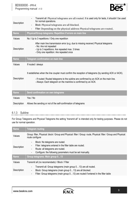

| Description | Transmit all: Physical telegrams are all routed. It is used only for tests, it shouldn't be used<br>$\qquad \qquad \blacksquare$<br>for normal operations.<br>Block: Physical telegrams are all blocked.<br>Filter: Depending on the physical address Physical telegrams are routed<br>$\overline{\phantom{0}}$ |
|-------------|-----------------------------------------------------------------------------------------------------------------------------------------------------------------------------------------------------------------------------------------------------------------------------------------------------------------|
| <b>Name</b> | Physical/Group telegrams: Repetition if errors on main line                                                                                                                                                                                                                                                     |
| Values      | No / Up to 3 repetitions / Only one repetition                                                                                                                                                                                                                                                                  |
| Description | After main line transmission error (e.g. due to missing receiver) Physical telegrams<br>- No: Are not repeated<br>- Up to 3 repetitions: Are repeated max. 3 times<br>- Only one repetition: Are repeated once                                                                                                  |
| <b>Name</b> | Telegram confirmation on main line                                                                                                                                                                                                                                                                              |
| Values      | If routed / always                                                                                                                                                                                                                                                                                              |
| Description | It establishes when the line coupler must confirm the reception of telegrams (by sending ACK or IACK).<br>- If routed: Routed telegrams to the subline are confirmed by an ACK on the main line.<br>- Always: Each telegram on the mainline is confirmed by an ACK.                                             |
| <b>Name</b> | Send confirmation on own telegrams                                                                                                                                                                                                                                                                              |
| Values      | Yes / No                                                                                                                                                                                                                                                                                                        |
|             |                                                                                                                                                                                                                                                                                                                 |

#### <span id="page-8-0"></span>6.1.3 Subline

For Group Telegrams and Physical Telegrams the setting "transmit all" is intended only for testing purposes. Please do not use for normal operation.

| <b>Name</b> | <b>Telegram routing</b>                                                                                                                                                                                                        |
|-------------|--------------------------------------------------------------------------------------------------------------------------------------------------------------------------------------------------------------------------------|
| Values      | Group: filter, Physical: block / Group and Physical: filter / Group: route, Physical: filter / Group and Physical:<br>route configure                                                                                          |
| Description | Block: No telegrams are routed.<br>$\overline{\phantom{a}}$<br>Filter: telegrams entered in the filter table are routed.<br>-<br>Route: all telegrams are routed.<br>Configure: the following parameters must be set manually. |
| <b>Name</b> | Group telegrams: Main group 013                                                                                                                                                                                                |
| Values      | Transmit all (no recomendado) / Block / Filter                                                                                                                                                                                 |
| Description | Transmit all: Group telegrams (main group 013) are all routed.<br>Block: Group telegrams (main group 013) are all blocked.<br>-<br>Filter: Group telegrams (main group 013) are routed if entered in the filter table<br>-     |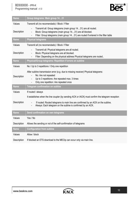### BD930000 - IPR-K

Programming manual v1.0



| <b>Name</b> | Group telegrams: Main group 1431                                                                                                                                                                                                                                  |
|-------------|-------------------------------------------------------------------------------------------------------------------------------------------------------------------------------------------------------------------------------------------------------------------|
| Values      | Transmit all (no recomendado) / Block / Filter                                                                                                                                                                                                                    |
| Description | Transmit all: Group telegrams (main group 1431) are all routed.<br>$\blacksquare$<br>Block: Group telegrams (main group 1431) are all blocked.<br>$\overline{\phantom{0}}$<br>Filter: Group telegrams (main group 1431) are routed if entered in the filter table |
| <b>Name</b> | <b>Physical telegrams</b>                                                                                                                                                                                                                                         |
| Values      | Transmit all (no recomendado) / Block / Filter                                                                                                                                                                                                                    |
| Description | Transmit all: Physical telegrams are all routed.<br>$\blacksquare$<br>Block: Physical telegrams are all blocked.<br>Filter: Depending on the physical address Physical telegrams are routed                                                                       |
| <b>Name</b> | Physical/Group telegrams: Repetition if errors on subline                                                                                                                                                                                                         |
| Values      | No / Up to 3 repetitions / Only one repetition                                                                                                                                                                                                                    |
| Description | After subline transmission error (e.g. due to missing receiver) Physical telegrams:<br>No: Are not repeated<br>Up to 3 repetitions: Are repeated max. 3 times<br>Only one repetition: Are repeated once                                                           |
| <b>Name</b> | <b>Telegram confirmation on subline</b>                                                                                                                                                                                                                           |
| Values      | If routed / always                                                                                                                                                                                                                                                |
|             | It establishes when the line coupler (by sending ACK or IACK) must confirm the telegram reception                                                                                                                                                                 |
| Description | If routed: Routed telegrams to main line are confirmed by an ACK on the subline.<br>$\blacksquare$<br>Always: Each telegram on the subline is confirmed by an ACK.                                                                                                |
| <b>Name</b> | Send confirmation on own telegrams                                                                                                                                                                                                                                |
| Values      | Yes / No                                                                                                                                                                                                                                                          |
| Description | Allows the sending or not of the self-confirmation of telegrams                                                                                                                                                                                                   |
| <b>Name</b> | <b>Configuration from subline</b>                                                                                                                                                                                                                                 |
| Values      | Allow / block                                                                                                                                                                                                                                                     |
| Description | If blocked an ETS download to the MECtp can occur only via main line.                                                                                                                                                                                             |

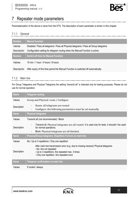

# <span id="page-10-0"></span>7 Repeater mode parameters

Parameterization of the device is done from the ETS. The description of each parameter is shown in this chapter.

#### <span id="page-10-1"></span>7.1.1 General

| <b>Nombre</b> | <b>Manual function</b>                                                                 |
|---------------|----------------------------------------------------------------------------------------|
| Valores       | Disabled / Pass all telegrams / Pass all Physical telegrams / Pass all Group telegrams |
| Descripción   | Configuration setting for telegram routing when the Manual Function is active.         |
| <b>Nombre</b> | <b>Switch-off time for Manual Function</b>                                             |
| Valores       | 10 min / 1 hour / 4 hours / 8 hours                                                    |
| Descripción   | After expiry of this time period the Manual Function is switched off automatically.    |

#### <span id="page-10-2"></span>7.1.2 Main line

For Group Telegrams and Physical Telegrams the setting "transmit all" is intended only for testing purposes. Please do not

use for normal operation.

| <b>Name</b> | <b>Telegram routing</b>                                                                                                                                                                                        |
|-------------|----------------------------------------------------------------------------------------------------------------------------------------------------------------------------------------------------------------|
| Values      | Group and Physical: route / Configure                                                                                                                                                                          |
| Description | Route: all telegrams are routed<br>$\overline{\phantom{a}}$<br>Configure: the following parameters must be set manually.<br>-                                                                                  |
| <b>Name</b> | <b>Physical telegrams</b>                                                                                                                                                                                      |
| Values      | Transmit all (not recommended) / Block                                                                                                                                                                         |
| Description | Transmit all: Physical telegrams are all routed. It is used only for tests, it shouldn't be used<br>for normal operations.<br>Block: Physical telegrams are all blocked.<br>٠                                  |
| <b>Name</b> | Physical/Group telegrams: Repetition if errors on main line                                                                                                                                                    |
| Values      | No / Up to 3 repetitions / Only one repetition                                                                                                                                                                 |
| Description | After main line transmission error (e.g. due to missing receiver) Physical telegrams<br>- No: Are not repeated<br>- Up to 3 repetitions: Are repeated max. 3 times<br>- Only one repetition: Are repeated once |
| <b>Name</b> | Telegram confirmation on main line                                                                                                                                                                             |
| Values      | If routed / always                                                                                                                                                                                             |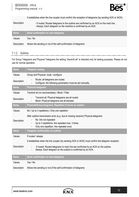

. . . . . . . . . . . . . .

| Description | It establishes when the line coupler must confirm the reception of telegrams (by sending ACK or IACK).<br>- If routed: Routed telegrams to the subline are confirmed by an ACK on the main line.<br>- Always: Each telegram on the mainline is confirmed by an ACK. |
|-------------|---------------------------------------------------------------------------------------------------------------------------------------------------------------------------------------------------------------------------------------------------------------------|
| <b>Name</b> | Send confirmation on own telegrams                                                                                                                                                                                                                                  |
| Values      | Yes / No                                                                                                                                                                                                                                                            |
| Description | Allows the sending or not of the self-confirmation of telegrams                                                                                                                                                                                                     |

#### <span id="page-11-0"></span>7.1.3 Subline

For Group Telegrams and Physical Telegrams the setting "transmit all" is intended only for testing purposes. Please do not

use for normal operation.

| <b>Name</b> | <b>Telegram routing</b>                                                                                                                                                                                                                                                                             |
|-------------|-----------------------------------------------------------------------------------------------------------------------------------------------------------------------------------------------------------------------------------------------------------------------------------------------------|
| Values      | Group and Physical: route / configure                                                                                                                                                                                                                                                               |
| Description | Route: all telegrams are routed.<br>Configure: the following parameters must be set manually.                                                                                                                                                                                                       |
| <b>Name</b> | <b>Physical telegrams</b>                                                                                                                                                                                                                                                                           |
| Values      | Transmit all (no recomendado) / Block / Filter                                                                                                                                                                                                                                                      |
| Description | Transmit all: Physical telegrams are all routed.<br>Block: Physical telegrams are all blocked.                                                                                                                                                                                                      |
| <b>Name</b> | Physical/Group telegrams: Repetition if errors on subline                                                                                                                                                                                                                                           |
| Values      | No / Up to 3 repetitions / Only one repetition                                                                                                                                                                                                                                                      |
| Description | After subline transmission error (e.g. due to missing receiver) Physical telegrams:<br>No: Are not repeated<br>Up to 3 repetitions: Are repeated max. 3 times<br>Only one repetition: Are repeated once                                                                                             |
| <b>Name</b> | <b>Telegram confirmation on subline</b>                                                                                                                                                                                                                                                             |
| Values      | If routed / always                                                                                                                                                                                                                                                                                  |
| Description | It establishes when the line coupler (by sending ACK or IACK) must confirm the telegram reception<br>If routed: Routed telegrams to main line are confirmed by an ACK on the subline.<br>$\blacksquare$<br>Always: Each telegram on the subline is confirmed by an ACK.<br>$\overline{\phantom{a}}$ |
| <b>Name</b> | Send confirmation on own telegrams                                                                                                                                                                                                                                                                  |
| Values      | Yes / No                                                                                                                                                                                                                                                                                            |
| Description | Allows the sending or not of the self-confirmation of telegrams                                                                                                                                                                                                                                     |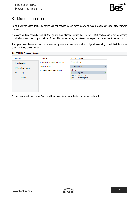

## <span id="page-12-0"></span>8 Manual function

Using the button on the front of the device, you can activate manual mode, as well as restore factory settings or allow firmware updates.

If pressed for three seconds, the IPR-K will go into manual mode, turning the Ethernet LED at least orange or red (depending on whether it was green or paid before). To exit this manual mode, the button must be pressed for another three seconds.

The operation of the manual function is selected by means of parameters in the configuration catalog of the IPR-K device, as shown in the following image:

| 1.1.0 BES KNX-IP Router > General |                                     |                             |  |
|-----------------------------------|-------------------------------------|-----------------------------|--|
| General                           | Host name                           | <b>BES KNX IP Router</b>    |  |
| IP configuration                  | Slow tunneling connections support  | yes Ono                     |  |
| KNX multicast address             | <b>Manual Function</b>              | pass all telegrams          |  |
|                                   | Switch-off time for Manual Function | disabled                    |  |
| Main line (IP)                    |                                     | pass all telegrams          |  |
|                                   |                                     | pass all Physical telegrams |  |
| Subline (KNX TP)                  |                                     | pass all Group telegrams    |  |
|                                   |                                     |                             |  |
|                                   |                                     |                             |  |
|                                   |                                     |                             |  |
|                                   |                                     |                             |  |
|                                   |                                     |                             |  |

A timer after which the manual function will be automatically deactivated can be also selected.

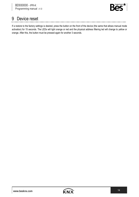

#### <span id="page-13-0"></span>9 Device reset

If a restore to the factory settings is desired, press the button on the front of the device (the same that allows manual mode activation) for 15 seconds. The LEDs will light orange or red and the physical address filtering led will change to yellow or orange. After this, the button must be pressed again for another 3 seconds.

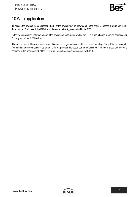

# <span id="page-14-0"></span>10 Web application

To access the device's web application, the IP of the device must be known and, in the browser, access through port 8080. To know the IP address, if the IPR-K is on the same network, you can find in the ETS.

In the web application, information about the device can be found as well as the TP bus line, change tunneling addresses or find a graph of the KNX bus load.

The device uses a different address when it is used to program devices, which is called tunneling. Since IPR-K allows up to four simultaneous connections, up to four different physical addresses can be established. The first of these addresses is assigned in the Interfaces tab of the ETS while the rest are assigned consecutively to it.

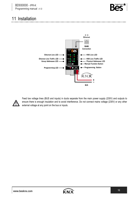

#### <span id="page-15-0"></span>11 Installation



Feed low voltage lines (BUS and inputs) in ducts separate from the main power supply (230V) and outputs to ensure there is enough insulation and to avoid interference. Do not connect mains voltage (230V) or any other external voltage at any point on the bus or inputs.